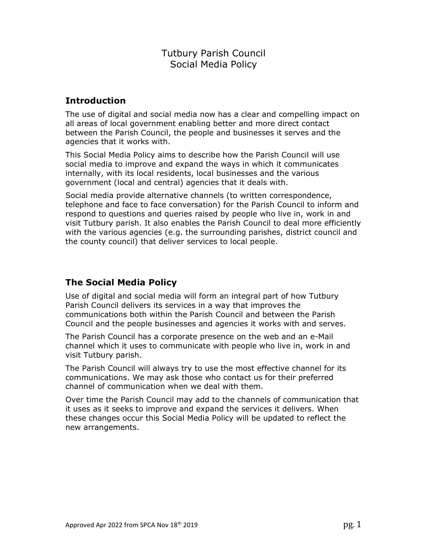## Tutbury Parish Council Social Media Policy

### Introduction

The use of digital and social media now has a clear and compelling impact on all areas of local government enabling better and more direct contact between the Parish Council, the people and businesses it serves and the agencies that it works with.

This Social Media Policy aims to describe how the Parish Council will use social media to improve and expand the ways in which it communicates internally, with its local residents, local businesses and the various government (local and central) agencies that it deals with.

Social media provide alternative channels (to written correspondence, telephone and face to face conversation) for the Parish Council to inform and respond to questions and queries raised by people who live in, work in and visit Tutbury parish. It also enables the Parish Council to deal more efficiently with the various agencies (e.g. the surrounding parishes, district council and the county council) that deliver services to local people.

# The Social Media Policy

Use of digital and social media will form an integral part of how Tutbury Parish Council delivers its services in a way that improves the communications both within the Parish Council and between the Parish Council and the people businesses and agencies it works with and serves.

The Parish Council has a corporate presence on the web and an e-Mail channel which it uses to communicate with people who live in, work in and visit Tutbury parish.

The Parish Council will always try to use the most effective channel for its communications. We may ask those who contact us for their preferred channel of communication when we deal with them.

Over time the Parish Council may add to the channels of communication that it uses as it seeks to improve and expand the services it delivers. When these changes occur this Social Media Policy will be updated to reflect the new arrangements.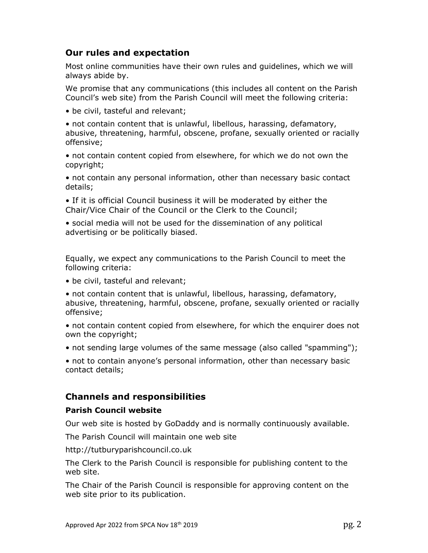### Our rules and expectation

Most online communities have their own rules and guidelines, which we will always abide by.

We promise that any communications (this includes all content on the Parish Council's web site) from the Parish Council will meet the following criteria:

• be civil, tasteful and relevant;

• not contain content that is unlawful, libellous, harassing, defamatory, abusive, threatening, harmful, obscene, profane, sexually oriented or racially offensive;

• not contain content copied from elsewhere, for which we do not own the copyright;

• not contain any personal information, other than necessary basic contact details;

• If it is official Council business it will be moderated by either the Chair/Vice Chair of the Council or the Clerk to the Council;

• social media will not be used for the dissemination of any political advertising or be politically biased.

Equally, we expect any communications to the Parish Council to meet the following criteria:

• be civil, tasteful and relevant;

• not contain content that is unlawful, libellous, harassing, defamatory, abusive, threatening, harmful, obscene, profane, sexually oriented or racially offensive;

• not contain content copied from elsewhere, for which the enquirer does not own the copyright;

• not sending large volumes of the same message (also called "spamming");

• not to contain anyone's personal information, other than necessary basic contact details;

### Channels and responsibilities

#### Parish Council website

Our web site is hosted by GoDaddy and is normally continuously available.

The Parish Council will maintain one web site

http://tutburyparishcouncil.co.uk

The Clerk to the Parish Council is responsible for publishing content to the web site.

The Chair of the Parish Council is responsible for approving content on the web site prior to its publication.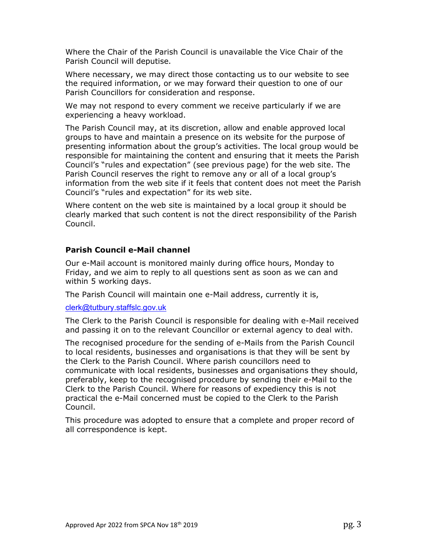Where the Chair of the Parish Council is unavailable the Vice Chair of the Parish Council will deputise.

Where necessary, we may direct those contacting us to our website to see the required information, or we may forward their question to one of our Parish Councillors for consideration and response.

We may not respond to every comment we receive particularly if we are experiencing a heavy workload.

The Parish Council may, at its discretion, allow and enable approved local groups to have and maintain a presence on its website for the purpose of presenting information about the group's activities. The local group would be responsible for maintaining the content and ensuring that it meets the Parish Council's "rules and expectation" (see previous page) for the web site. The Parish Council reserves the right to remove any or all of a local group's information from the web site if it feels that content does not meet the Parish Council's "rules and expectation" for its web site.

Where content on the web site is maintained by a local group it should be clearly marked that such content is not the direct responsibility of the Parish Council.

#### Parish Council e-Mail channel

Our e-Mail account is monitored mainly during office hours, Monday to Friday, and we aim to reply to all questions sent as soon as we can and within 5 working days.

The Parish Council will maintain one e-Mail address, currently it is,

clerk@tutbury.staffslc.gov.uk

The Clerk to the Parish Council is responsible for dealing with e-Mail received and passing it on to the relevant Councillor or external agency to deal with.

The recognised procedure for the sending of e-Mails from the Parish Council to local residents, businesses and organisations is that they will be sent by the Clerk to the Parish Council. Where parish councillors need to communicate with local residents, businesses and organisations they should, preferably, keep to the recognised procedure by sending their e-Mail to the Clerk to the Parish Council. Where for reasons of expediency this is not practical the e-Mail concerned must be copied to the Clerk to the Parish Council.

This procedure was adopted to ensure that a complete and proper record of all correspondence is kept.